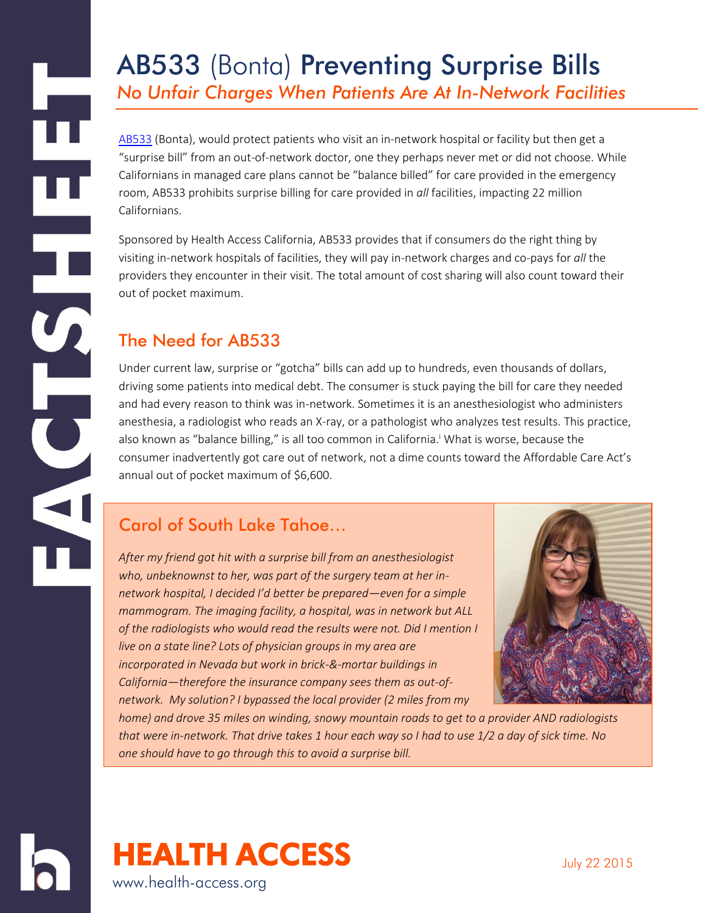## AB533 (Bonta) Preventing Surprise Bills *No Unfair Charges When Patients Are At In-Network Facilities*

[AB533](http://leginfo.legislature.ca.gov/faces/billTextClient.xhtml?bill_id=201520160AB533&search_keywords=hospital) (Bonta), would protect patients who visit an in-network hospital or facility but then get a "surprise bill" from an out-of-network doctor, one they perhaps never met or did not choose. While Californians in managed care plans cannot be "balance billed" for care provided in the emergency room, AB533 prohibits surprise billing for care provided in *all* facilities, impacting 22 million Californians.

Sponsored by Health Access California, AB533 provides that if consumers do the right thing by visiting in-network hospitals of facilities, they will pay in-network charges and co-pays for *all* the providers they encounter in their visit. The total amount of cost sharing will also count toward their out of pocket maximum.

### The Need for AB533

Under current law, surprise or "gotcha" bills can add up to hundreds, even thousands of dollars, driving some patients into medical debt. The consumer is stuck paying the bill for care they needed and had every reason to think was in-network. Sometimes it is an anesthesiologist who administers anesthesia, a radiologist who reads an X-ray, or a pathologist who analyzes test results. This practice, also known as "balance billing," is all too common in California.<sup>i</sup> What is worse, because the consumer inadvertently got care out of network, not a dime counts toward the Affordable Care Act's annual out of pocket maximum of \$6,600.

### Carol of South Lake Tahoe…

*After my friend got hit with a surprise bill from an anesthesiologist who, unbeknownst to her, was part of the surgery team at her innetwork hospital, I decided I'd better be prepared—even for a simple mammogram. The imaging facility, a hospital, was in network but ALL of the radiologists who would read the results were not. Did I mention I live on a state line? Lots of physician groups in my area are incorporated in Nevada but work in brick-&-mortar buildings in California—therefore the insurance company sees them as out-ofnetwork. My solution? I bypassed the local provider (2 miles from my* 



*home) and drove 35 miles on winding, snowy mountain roads to get to a provider AND radiologists that were in-network. That drive takes 1 hour each way so I had to use 1/2 a day of sick time. No one should have to go through this to avoid a surprise bill.* 

# **HEALTH ACCESS** July 22 2015